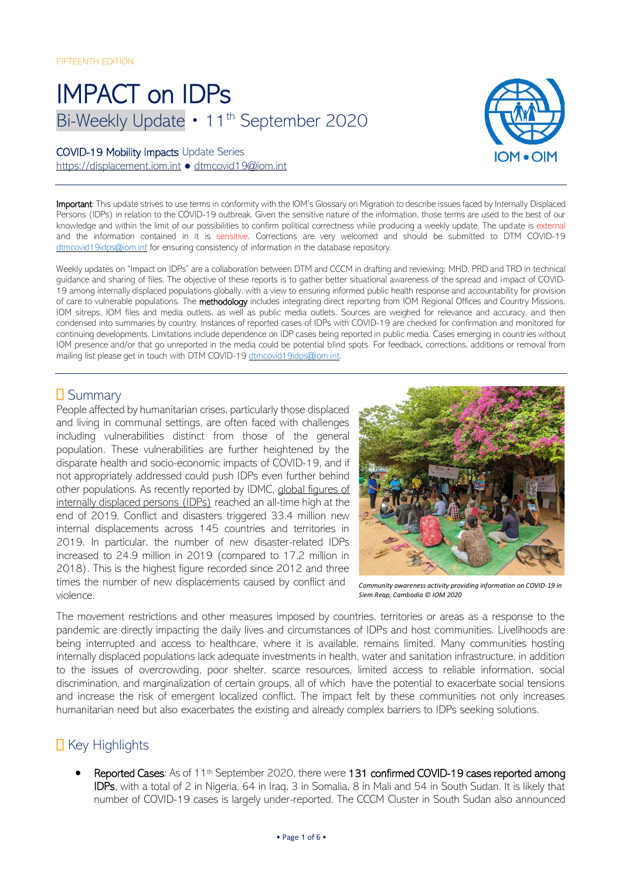# IMPACT on IDPs Bi-Weekly Update • 11<sup>th</sup> September 2020

#### COVID-19 Mobility Impacts Update Series

[https://displacement.iom.int](https://displacement.iom.int/) ● [dtmcovid19@iom.int](mailto:dtmcovid19@iom.int)



Important: This update strives to use terms in conformity with the IOM's Glossary on Migration to describe issues faced by Internally Displaced Persons (IDPs) in relation to the COVID-19 outbreak. Given the sensitive nature of the information, those terms are used to the best of our knowledge and within the limit of our possibilities to confirm political correctness while producing a weekly update. The update is external and the information contained in it is sensitive. Corrections are very welcomed and should be submitted to DTM COVID-19 [dtmcovid19idps@iom.int](mailto:dtmcovid19idps@iom.int) for ensuring consistency of information in the database repository.

Weekly updates on "Impact on IDPs" are a collaboration between DTM and CCCM in drafting and reviewing; MHD, PRD and TRD in technical guidance and sharing of files. The objective of these reports is to gather better situational awareness of the spread and impact of COVID-19 among internally displaced populations globally, with a view to ensuring informed public health response and accountability for provision of care to vulnerable populations. The methodology includes integrating direct reporting from IOM Regional Offices and Country Missions, IOM sitreps, IOM files and media outlets, as well as public media outlets. Sources are weighed for relevance and accuracy, and then condensed into summaries by country. Instances of reported cases of IDPs with COVID-19 are checked for confirmation and monitored for continuing developments. Limitations include dependence on IDP cases being reported in public media. Cases emerging in countries without IOM presence and/or that go unreported in the media could be potential blind spots. For feedback, corrections, additions or removal from mailing list please get in touch with DTM COVID-19 [dtmcovid19idps@iom.int.](mailto:dtmcovid19idps@iom.int)

## **D** Summary

People affected by humanitarian crises, particularly those displaced and living in communal settings, are often faced with challenges including vulnerabilities distinct from those of the general population. These vulnerabilities are further heightened by the disparate health and socio-economic impacts of COVID-19, and if not appropriately addressed could push IDPs even further behind other populations. As recently reported by IDMC, [global figures of](https://www.internal-displacement.org/global-report/grid2020/)  [internally displaced persons \(IDPs\)](https://www.internal-displacement.org/global-report/grid2020/) reached an all-time high at the end of 2019. Conflict and disasters triggered 33.4 million new internal displacements across 145 countries and territories in 2019. In particular, the number of new disaster-related IDPs increased to 24.9 million in 2019 (compared to 17.2 million in 2018). This is the highest figure recorded since 2012 and three times the number of new displacements caused by conflict and violence.



*Community awareness activity providing information on COVID-19 in Siem Reap, Cambodia © IOM 2020* 

The movement restrictions and other measures imposed by countries, territories or areas as a response to the pandemic are directly impacting the daily lives and circumstances of IDPs and host communities. Livelihoods are being interrupted and access to healthcare, where it is available, remains limited. Many communities hosting internally displaced populations lack adequate investments in health, water and sanitation infrastructure, in addition to the issues of overcrowding, poor shelter, scarce resources, limited access to reliable information, social discrimination, and marginalization of certain groups, all of which have the potential to exacerbate social tensions and increase the risk of emergent localized conflict. The impact felt by these communities not only increases humanitarian need but also exacerbates the existing and already complex barriers to IDPs seeking solutions.

## $\Box$  Key Highlights

Reported Cases: As of 11<sup>th</sup> September 2020, there were 131 confirmed COVID-19 cases reported among IDPs, with a total of 2 in Nigeria, 64 in Iraq, 3 in Somalia, 8 in Mali and 54 in South Sudan. It is likely that number of COVID-19 cases is largely under-reported. The CCCM Cluster in South Sudan also announced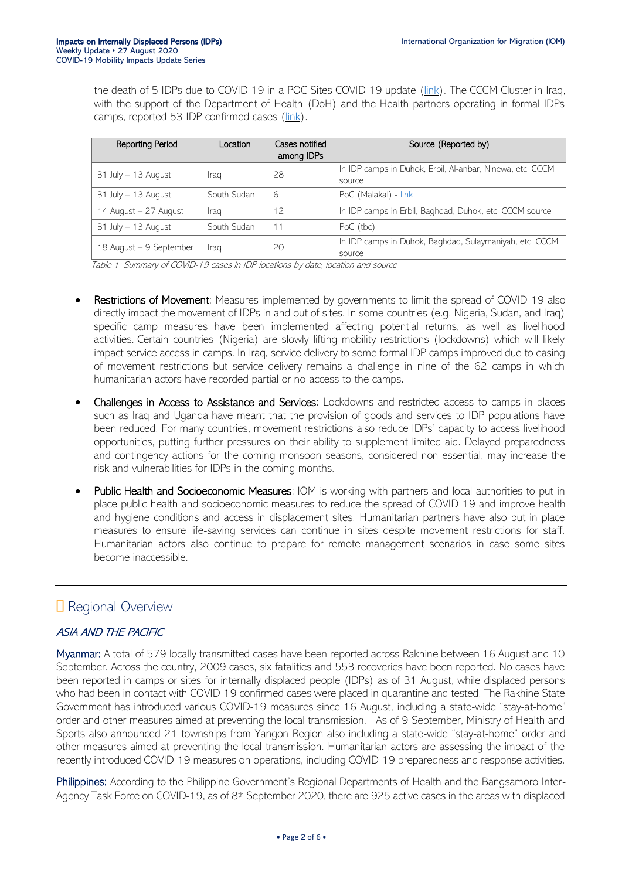the death of 5 IDPs due to COVID-19 in a POC Sites COVID-19 update [\(link\)](https://www.humanitarianresponse.info/en/op%C3%A9rations/south-sudan/infographic/20200720-cccm-cluster-poc-sites-covid-19-update-4). The CCCM Cluster in Iraq, with the support of the Department of Health (DoH) and the Health partners operating in formal IDPs camps, reported 53 IDP confirmed cases (*link*).

| Reporting Period        | Location    | Cases notified<br>among IDPs | Source (Reported by)                                                |
|-------------------------|-------------|------------------------------|---------------------------------------------------------------------|
| $31$ July $-13$ August  | Iraq        | 28                           | In IDP camps in Duhok, Erbil, Al-anbar, Ninewa, etc. CCCM<br>source |
| $31$ July $-13$ August  | South Sudan | 6                            | PoC (Malakal) - link                                                |
| 14 August - 27 August   | Iraq        | 12                           | In IDP camps in Erbil, Baghdad, Duhok, etc. CCCM source             |
| $31$ July $-13$ August  | South Sudan | 11                           | PoC (tbc)                                                           |
| 18 August - 9 September | Iraq        | 20                           | In IDP camps in Duhok, Baghdad, Sulaymaniyah, etc. CCCM<br>source   |

Table 1: Summary of COVID-19 cases in IDP locations by date, location and source

- Restrictions of Movement: Measures implemented by governments to limit the spread of COVID-19 also directly impact the movement of IDPs in and out of sites. In some countries (e.g. Nigeria, Sudan, and Iraq) specific camp measures have been implemented affecting potential returns, as well as livelihood activities. Certain countries (Nigeria) are slowly lifting mobility restrictions (lockdowns) which will likely impact service access in camps. In Iraq, service delivery to some formal IDP camps improved due to easing of movement restrictions but service delivery remains a challenge in nine of the 62 camps in which humanitarian actors have recorded partial or no-access to the camps.
- Challenges in Access to Assistance and Services: Lockdowns and restricted access to camps in places such as Iraq and Uganda have meant that the provision of goods and services to IDP populations have been reduced. For many countries, movement restrictions also reduce IDPs' capacity to access livelihood opportunities, putting further pressures on their ability to supplement limited aid. Delayed preparedness and contingency actions for the coming monsoon seasons, considered non-essential, may increase the risk and vulnerabilities for IDPs in the coming months.
- Public Health and Socioeconomic Measures: IOM is working with partners and local authorities to put in place public health and socioeconomic measures to reduce the spread of COVID-19 and improve health and hygiene conditions and access in displacement sites. Humanitarian partners have also put in place measures to ensure life-saving services can continue in sites despite movement restrictions for staff. Humanitarian actors also continue to prepare for remote management scenarios in case some sites become inaccessible.

## **Regional Overview**

### ASIA AND THE PACIFIC

Myanmar: A total of 579 locally transmitted cases have been reported across Rakhine between 16 August and 10 September. Across the country, 2009 cases, six fatalities and 553 recoveries have been reported. No cases have been reported in camps or sites for internally displaced people (IDPs) as of 31 August, while displaced persons who had been in contact with COVID-19 confirmed cases were placed in quarantine and tested. The Rakhine State Government has introduced various COVID-19 measures since 16 August, including a state-wide "stay-at-home" order and other measures aimed at preventing the local transmission. As of 9 September, Ministry of Health and Sports also announced 21 townships from Yangon Region also including a state-wide "stay-at-home" order and other measures aimed at preventing the local transmission. Humanitarian actors are assessing the impact of the recently introduced COVID-19 measures on operations, including COVID-19 preparedness and response activities.

Philippines: According to the Philippine Government's Regional Departments of Health and the Bangsamoro Inter-Agency Task Force on COVID-19, as of 8th September 2020, there are 925 active cases in the areas with displaced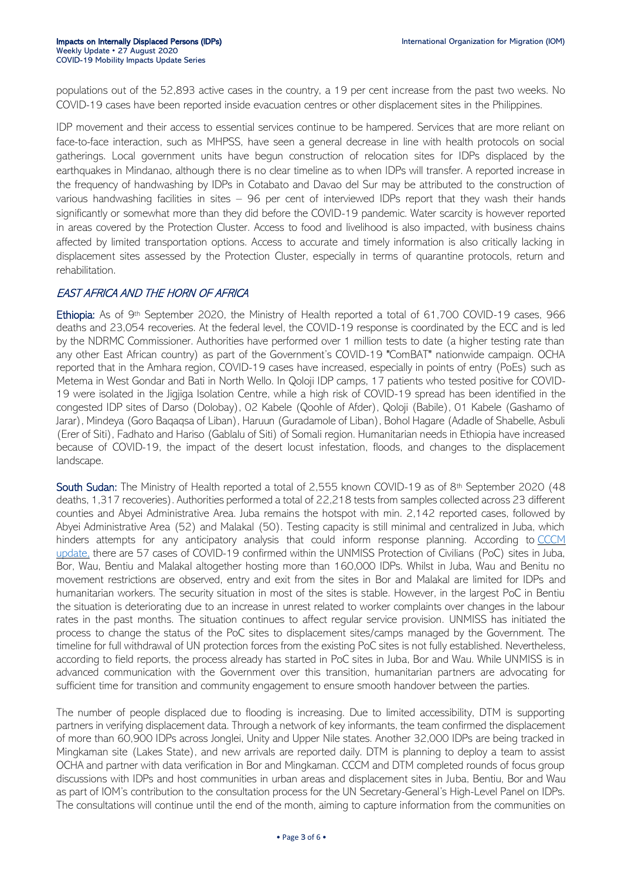populations out of the 52,893 active cases in the country, a 19 per cent increase from the past two weeks. No COVID-19 cases have been reported inside evacuation centres or other displacement sites in the Philippines.

IDP movement and their access to essential services continue to be hampered. Services that are more reliant on face-to-face interaction, such as MHPSS, have seen a general decrease in line with health protocols on social gatherings. Local government units have begun construction of relocation sites for IDPs displaced by the earthquakes in Mindanao, although there is no clear timeline as to when IDPs will transfer. A reported increase in the frequency of handwashing by IDPs in Cotabato and Davao del Sur may be attributed to the construction of various handwashing facilities in sites – 96 per cent of interviewed IDPs report that they wash their hands significantly or somewhat more than they did before the COVID-19 pandemic. Water scarcity is however reported in areas covered by the Protection Cluster. Access to food and livelihood is also impacted, with business chains affected by limited transportation options. Access to accurate and timely information is also critically lacking in displacement sites assessed by the Protection Cluster, especially in terms of quarantine protocols, return and rehabilitation.

#### EAST AFRICA AND THE HORN OF AFRICA

Ethiopia: As of 9<sup>th</sup> September 2020, the Ministry of Health reported a total of 61,700 COVID-19 cases, 966 deaths and 23,054 recoveries. At the federal level, the COVID-19 response is coordinated by the ECC and is led by the NDRMC Commissioner. Authorities have performed over 1 million tests to date (a higher testing rate than any other East African country) as part of the Government's COVID-19 "ComBAT" nationwide campaign. OCHA reported that in the Amhara region, COVID-19 cases have increased, especially in points of entry (PoEs) such as Metema in West Gondar and Bati in North Wello. In Qoloji IDP camps, 17 patients who tested positive for COVID-19 were isolated in the Jigjiga Isolation Centre, while a high risk of COVID-19 spread has been identified in the congested IDP sites of Darso (Dolobay), 02 Kabele (Qoohle of Afder), Qoloji (Babile), 01 Kabele (Gashamo of Jarar), Mindeya (Goro Baqaqsa of Liban), Haruun (Guradamole of Liban), Bohol Hagare (Adadle of Shabelle, Asbuli (Erer of Siti), Fadhato and Hariso (Gablalu of Siti) of Somali region. Humanitarian needs in Ethiopia have increased because of COVID-19, the impact of the desert locust infestation, floods, and changes to the displacement landscape.

South Sudan: The Ministry of Health reported a total of 2,555 known COVID-19 as of 8<sup>th</sup> September 2020 (48 deaths, 1,317 recoveries). Authorities performed a total of 22,218 tests from samples collected across 23 different counties and Abyei Administrative Area. Juba remains the hotspot with min. 2,142 reported cases, followed by Abyei Administrative Area (52) and Malakal (50). Testing capacity is still minimal and centralized in Juba, which hinders attempts for any anticipatory analysis that could inform response planning. According to CCCM [update,](https://eur02.safelinks.protection.outlook.com/?url=https%3A%2F%2Fwww.humanitarianresponse.info%2Fen%2Fop%25C3%25A9rations%2Fsouth-sudan%2Finfographic%2F20200901-cccm-cluster-poc-sites-covid-19-update-7&data=02%7C01%7Cphirani%40iom.int%7C7d3bd471e59046ba277a08d85557a7e9%7C1588262d23fb43b4bd6ebce49c8e6186%7C1%7C0%7C637353182248909370&sdata=0%2B%2BkfjpNf4wRTP6eSJBKq8qci%2BMcfH3Y9F9IP%2BTtbc8%3D&reserved=0) there are 57 cases of COVID-19 confirmed within the UNMISS Protection of Civilians (PoC) sites in Juba, Bor, Wau, Bentiu and Malakal altogether hosting more than 160,000 IDPs. Whilst in Juba, Wau and Benitu no movement restrictions are observed, entry and exit from the sites in Bor and Malakal are limited for IDPs and humanitarian workers. The security situation in most of the sites is stable. However, in the largest PoC in Bentiu the situation is deteriorating due to an increase in unrest related to worker complaints over changes in the labour rates in the past months. The situation continues to affect regular service provision. UNMISS has initiated the process to change the status of the PoC sites to displacement sites/camps managed by the Government. The timeline for full withdrawal of UN protection forces from the existing PoC sites is not fully established. Nevertheless, according to field reports, the process already has started in PoC sites in Juba, Bor and Wau. While UNMISS is in advanced communication with the Government over this transition, humanitarian partners are advocating for sufficient time for transition and community engagement to ensure smooth handover between the parties.

The number of people displaced due to flooding is increasing. Due to limited accessibility, DTM is supporting partners in verifying displacement data. Through a network of key informants, the team confirmed the displacement of more than 60,900 IDPs across Jonglei, Unity and Upper Nile states. Another 32,000 IDPs are being tracked in Mingkaman site (Lakes State), and new arrivals are reported daily. DTM is planning to deploy a team to assist OCHA and partner with data verification in Bor and Mingkaman. CCCM and DTM completed rounds of focus group discussions with IDPs and host communities in urban areas and displacement sites in Juba, Bentiu, Bor and Wau as part of IOM's contribution to the consultation process for the UN Secretary-General's High-Level Panel on IDPs. The consultations will continue until the end of the month, aiming to capture information from the communities on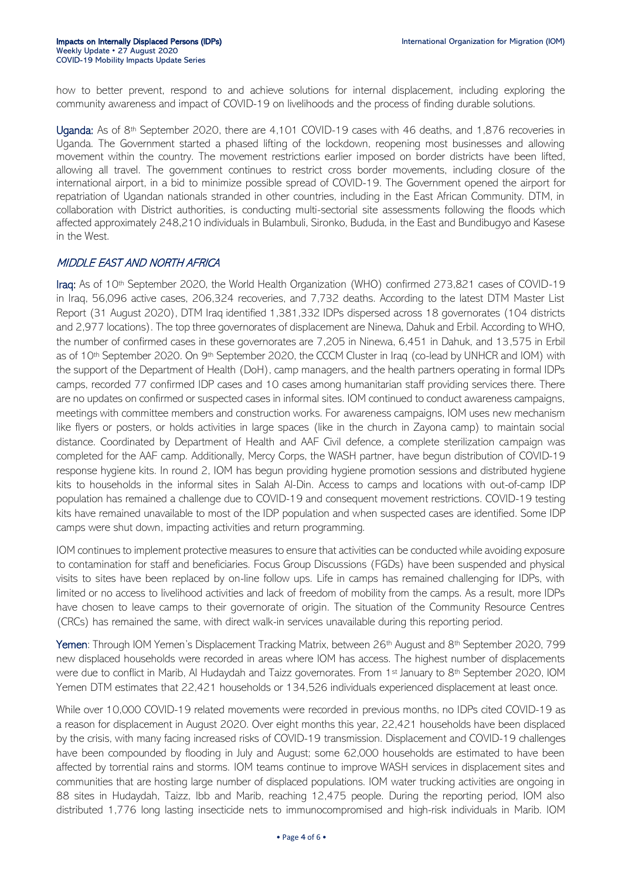how to better prevent, respond to and achieve solutions for internal displacement, including exploring the community awareness and impact of COVID-19 on livelihoods and the process of finding durable solutions.

Uganda: As of 8<sup>th</sup> September 2020, there are 4,101 COVID-19 cases with 46 deaths, and 1,876 recoveries in Uganda. The Government started a phased lifting of the lockdown, reopening most businesses and allowing movement within the country. The movement restrictions earlier imposed on border districts have been lifted, allowing all travel. The government continues to restrict cross border movements, including closure of the international airport, in a bid to minimize possible spread of COVID-19. The Government opened the airport for repatriation of Ugandan nationals stranded in other countries, including in the East African Community. DTM, in collaboration with District authorities, is conducting multi-sectorial site assessments following the floods which affected approximately 248,210 individuals in Bulambuli, Sironko, Bududa, in the East and Bundibugyo and Kasese in the West.

#### MIDDLE EAST AND NORTH AFRICA

Iraq: As of 10th September 2020, the World Health Organization (WHO) confirmed 273,821 cases of COVID-19 in Iraq, 56,096 active cases, 206,324 recoveries, and 7,732 deaths. According to the latest DTM Master List Report (31 August 2020), DTM Iraq identified 1,381,332 IDPs dispersed across 18 governorates (104 districts and 2,977 locations). The top three governorates of displacement are Ninewa, Dahuk and Erbil. According to WHO, the number of confirmed cases in these governorates are 7,205 in Ninewa, 6,451 in Dahuk, and 13,575 in Erbil as of 10<sup>th</sup> September 2020. On 9<sup>th</sup> September 2020, the CCCM Cluster in Iraq (co-lead by UNHCR and IOM) with the support of the Department of Health (DoH), camp managers, and the health partners operating in formal IDPs camps, recorded 77 confirmed IDP cases and 10 cases among humanitarian staff providing services there. There are no updates on confirmed or suspected cases in informal sites. IOM continued to conduct awareness campaigns, meetings with committee members and construction works. For awareness campaigns, IOM uses new mechanism like flyers or posters, or holds activities in large spaces (like in the church in Zayona camp) to maintain social distance. Coordinated by Department of Health and AAF Civil defence, a complete sterilization campaign was completed for the AAF camp. Additionally, Mercy Corps, the WASH partner, have begun distribution of COVID-19 response hygiene kits. In round 2, IOM has begun providing hygiene promotion sessions and distributed hygiene kits to households in the informal sites in Salah Al-Din. Access to camps and locations with out-of-camp IDP population has remained a challenge due to COVID-19 and consequent movement restrictions. COVID-19 testing kits have remained unavailable to most of the IDP population and when suspected cases are identified. Some IDP camps were shut down, impacting activities and return programming.

IOM continues to implement protective measures to ensure that activities can be conducted while avoiding exposure to contamination for staff and beneficiaries. Focus Group Discussions (FGDs) have been suspended and physical visits to sites have been replaced by on-line follow ups. Life in camps has remained challenging for IDPs, with limited or no access to livelihood activities and lack of freedom of mobility from the camps. As a result, more IDPs have chosen to leave camps to their governorate of origin. The situation of the Community Resource Centres (CRCs) has remained the same, with direct walk-in services unavailable during this reporting period.

Yemen: Through IOM Yemen's Displacement Tracking Matrix, between 26<sup>th</sup> August and 8<sup>th</sup> September 2020, 799 new displaced households were recorded in areas where IOM has access. The highest number of displacements were due to conflict in Marib, Al Hudaydah and Taizz governorates. From 1<sup>st</sup> January to 8<sup>th</sup> September 2020, IOM Yemen DTM estimates that 22,421 households or 134,526 individuals experienced displacement at least once.

While over 10,000 COVID-19 related movements were recorded in previous months, no IDPs cited COVID-19 as a reason for displacement in August 2020. Over eight months this year, 22,421 households have been displaced by the crisis, with many facing increased risks of COVID-19 transmission. Displacement and COVID-19 challenges have been compounded by flooding in July and August; some 62,000 households are estimated to have been affected by torrential rains and storms. IOM teams continue to improve WASH services in displacement sites and communities that are hosting large number of displaced populations. IOM water trucking activities are ongoing in 88 sites in Hudaydah, Taizz, Ibb and Marib, reaching 12,475 people. During the reporting period, IOM also distributed 1,776 long lasting insecticide nets to immunocompromised and high-risk individuals in Marib. IOM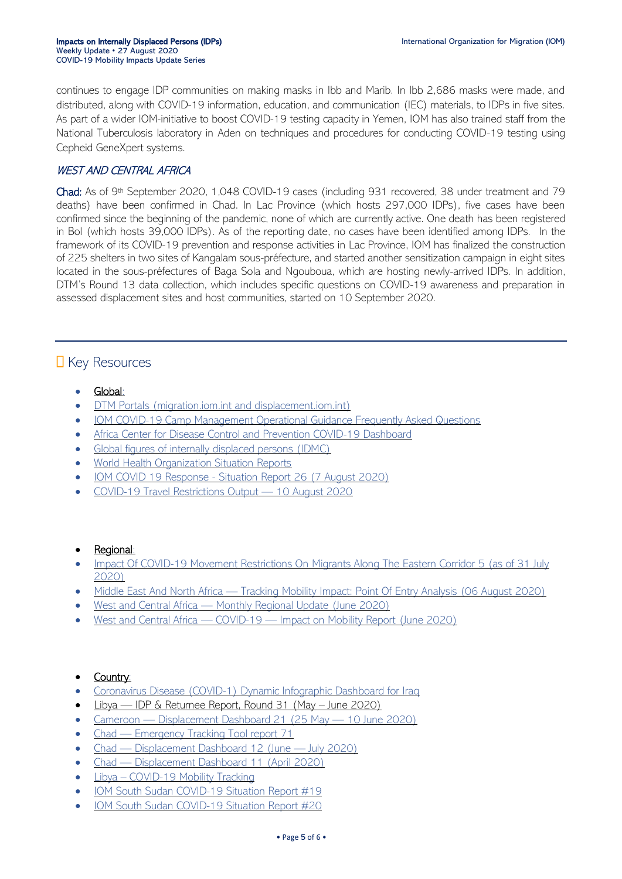continues to engage IDP communities on making masks in Ibb and Marib. In Ibb 2,686 masks were made, and distributed, along with COVID-19 information, education, and communication (IEC) materials, to IDPs in five sites. As part of a wider IOM-initiative to boost COVID-19 testing capacity in Yemen, IOM has also trained staff from the National Tuberculosis laboratory in Aden on techniques and procedures for conducting COVID-19 testing using Cepheid GeneXpert systems.

#### WEST AND CENTRAL AFRICA

Chad: As of 9th September 2020, 1,048 COVID-19 cases (including 931 recovered, 38 under treatment and 79 deaths) have been confirmed in Chad. In Lac Province (which hosts 297,000 IDPs), five cases have been confirmed since the beginning of the pandemic, none of which are currently active. One death has been registered in Bol (which hosts 39,000 IDPs). As of the reporting date, no cases have been identified among IDPs. In the framework of its COVID-19 prevention and response activities in Lac Province, IOM has finalized the construction of 225 shelters in two sites of Kangalam sous-préfecture, and started another sensitization campaign in eight sites located in the sous-préfectures of Baga Sola and Ngouboua, which are hosting newly-arrived IDPs. In addition, DTM's Round 13 data collection, which includes specific questions on COVID-19 awareness and preparation in assessed displacement sites and host communities, started on 10 September 2020.

## **D** Key Resources

- Global:
- DTM Portals [\(migration.iom.int](https://migration.iom.int/) and [displacement.iom.int\)](https://displacement.iom.int/)
- [IOM COVID-19 Camp Management Operational Guidance Frequently Asked Questions](https://reliefweb.int/report/world/iom-covid-camp-management-operational-guidance-frequently-asked-questions-draft-31)
- [Africa Center for Disease Control and Prevention COVID-19 Dashboard](https://africacdc.org/covid-19/)
- [Global figures of internally displaced persons \(IDMC\)](https://www.internal-displacement.org/global-report/grid2020/)
- [World Health Organization Situation Reports](https://www.who.int/emergencies/diseases/novel-coronavirus-2019/situation-reports)
- IOM COVID 19 Response [Situation Report 26 \(7 August 2020\)](https://migration.iom.int/reports/iom-covid-19-response-situation-report-26-7-august-2020)
- [COVID-19 Travel Restrictions Output](https://migration.iom.int/reports/covid-19-travel-restrictions-output-%E2%80%94-10-august-2020)  10 August 2020

#### Regional:

- Impact Of COVID-19 Movement Restrictions On [Migrants Along The Eastern Corridor 5 \(as of 31 July](https://migration.iom.int/node/9380)  [2020\)](https://migration.iom.int/node/9380)
- Middle East And North Africa [Tracking Mobility Impact: Point Of Entry Analysis \(06 August 2020\)](https://displacement.iom.int/reports/middle-east-and-north-africa-%E2%80%94-tracking-mobility-impact-point-entry-analysis-06-august-2020)
- West and Central Africa [Monthly Regional Update \(June 2020\)](https://displacement.iom.int/reports/west-and-central-africa-%E2%80%94-monthly-regional-update-june-2020?_ga=2.264092687.2054409687.1597325154-1616658941.1582741459)
- West and Central Africa COVID-19 [Impact on Mobility Report \(June 2020\)](https://displacement.iom.int/reports/west-and-central-africa-%E2%80%94-covid-19-%E2%80%94-impact-mobility-report-june-2020)

#### Country:

- [Coronavirus Disease \(COVID-1\) Dynamic Infographic Dashboard for Iraq](https://app.powerbi.com/view?r=eyJrIjoiNjljMDhiYmItZTlhMS00MDlhLTg3MjItMDNmM2FhNzE5NmM4IiwidCI6ImY2MTBjMGI3LWJkMjQtNGIzOS04MTBiLTNkYzI4MGFmYjU5MCIsImMiOjh9)
- Libya IDP & Returnee Report, Round 31 (May June 2020)
- Cameroon [Displacement Dashboard 21 \(25 May](https://displacement.iom.int/reports/cameroon-%E2%80%94-displacement-dashboard-21-25-mai-%E2%80%94-10-june-2020)  10 June 2020)
- Chad [Emergency Tracking Tool report 71](https://eur02.safelinks.protection.outlook.com/?url=https%3A%2F%2Fdisplacement.iom.int%2Fnode%2F9480%3Fclose%3Dtrue&data=02%7C01%7Cdjusselme%40iom.int%7C7c085ef773e34e3a251208d849fd93e6%7C1588262d23fb43b4bd6ebce49c8e6186%7C1%7C0%7C637340700748640451&sdata=90Ryx4t9NiBpfmOPphg4ZNDaII7A1RlYwwNVfC5IUXs%3D&reserved=0)
- Chad [Displacement Dashboard](https://displacement.iom.int/node/9454?close=true) 12 (June July 2020)
- Chad [Displacement Dashboard](https://displacement.iom.int/node/8670?close=true) 11 (April 2020)
- Libya [COVID-19 Mobility Tracking](https://migration.iom.int/reports/libya-%E2%80%94-covid-19-mobility-tracking-3-june-2020)
- [IOM South Sudan COVID-19 Situation Report #19](https://eur02.safelinks.protection.outlook.com/?url=https%3A%2F%2Fsouthsudan.iom.int%2Fmedia-and-reports%2Fother-reports%2Fiom-south-sudan-covid-19-situation-report-19-10-16-august&data=02%7C01%7Cphirani%40iom.int%7Ce3273997032443b5aa6108d8483d5dab%7C1588262d23fb43b4bd6ebce49c8e6186%7C1%7C0%7C637338775856087708&sdata=1keYOiF8u4%2Fza2nQQNrEFH0zpa4yP4wx1NaThUUO2MY%3D&reserved=0)
- [IOM South Sudan COVID-19 Situation Report #20](https://eur02.safelinks.protection.outlook.com/?url=https%3A%2F%2Fsouthsudan.iom.int%2Fmedia-and-reports%2Fother-reports%2Fiom-south-sudan-covid-19-situation-report-20-17-%25E2%2580%2593-23-august-2020&data=02%7C01%7Cdjusselme%40iom.int%7Cd63f3d73631f4903a41d08d84b41fc9a%7C1588262d23fb43b4bd6ebce49c8e6186%7C1%7C0%7C637342094085379529&sdata=jqx6mZXiONCneGdhxYZlK%2BANRWPvDe3pPQIPK5ZmWhA%3D&reserved=0)